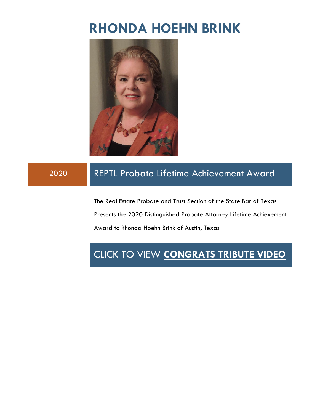# **RHONDA HOEHN BRINK**



### 2020 REPTL Probate Lifetime Achievement Award

The Real Estate Probate and Trust Section of the State Bar of Texas Presents the 2020 Distinguished Probate Attorney Lifetime Achievement Award to Rhonda Hoehn Brink of Austin, Texas

## CLICK TO VIEW **[CONGRATS TRIBUTE VIDEO](https://www.tribute.co/rhonda-brink/)**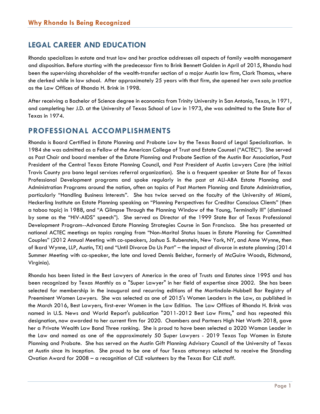#### **LEGAL CAREER AND EDUCATION**

Rhonda specializes in estate and trust law and her practice addresses all aspects of family wealth management and disposition. Before starting with the predecessor firm to Brink Bennett Golden in April of 2015, Rhonda had been the supervising shareholder of the wealth-transfer section of a major Austin law firm, Clark Thomas, where she clerked while in law school. After approximately 25 years with that firm, she opened her own solo practice as the Law Offices of Rhonda H. Brink in 1998.

After receiving a Bachelor of Science degree in economics from Trinity University in San Antonio, Texas, in 1971, and completing her J.D. at the University of Texas School of Law in 1973, she was admitted to the State Bar of Texas in 1974.

#### **PROFESSIONAL ACCOMPLISHMENTS**

Rhonda is Board Certified in Estate Planning and Probate Law by the Texas Board of Legal Specialization. In 1984 she was admitted as a Fellow of the American College of Trust and Estate Counsel ("ACTEC"). She served as Past Chair and board member of the Estate Planning and Probate Section of the Austin Bar Association, Past President of the Central Texas Estate Planning Council, and Past President of Austin Lawyers Care (the initial Travis County pro bono legal services referral organization). She is a frequent speaker at State Bar of Texas Professional Development programs and spoke regularly in the past at ALI-ABA Estate Planning and Administration Programs around the nation, often on topics of Post Mortem Planning and Estate Administration, particularly "Handling Business Interests". She has twice served on the faculty of the University of Miami, Heckerling Institute on Estate Planning speaking on "Planning Perspectives for Creditor Conscious Clients" (then a taboo topic) in 1988, and "A Glimpse Through the Planning Window of the Young, Terminally Ill" (dismissed by some as the "HIV-AIDS" speech"). She served as Director of the 1999 State Bar of Texas Professional Development Program--Advanced Estate Planning Strategies Course in San Francisco. She has presented at national ACTEC meetings on topics ranging from "Non-Marital Status Issues in Estate Planning for Committed Couples" (2012 Annual Meeting with co-speakers, Joshua S. Rubenstein, New York, NY, and Anne Wynne, then of Ikard Wynne, LLP, Austin, TX) and "Until Divorce Do Us Part" – the impact of divorce in estate planning (2014 Summer Meeting with co-speaker, the late and loved Dennis Belcher, formerly of McGuire Woods, Richmond, Virginia).

Rhonda has been listed in the Best Lawyers of America in the area of Trusts and Estates since 1995 and has been recognized by Texas Monthly as a "Super Lawyer" in her field of expertise since 2002. She has been selected for membership in the inaugural and recurring editions of the Martindale-Hubbell Bar Registry of Preeminent Women Lawyers. She was selected as one of 2015's Women Leaders in the Law, as published in the March 2016, Best Lawyers, first-ever Women in the Law Edition. The Law Offices of Rhonda H. Brink was named in U.S. News and World Report's publication "2011-2012 Best Law Firms," and has repeated this designation, now awarded to her current firm for 2020. Chambers and Partners High Net Worth 2018, gave her a Private Wealth Law Band Three ranking. She is proud to have been selected a 2020 Woman Leader in the Law and named as one of the approximately 50 Super Lawyers - 2019 Texas Top Women in Estate Planning and Probate. She has served on the Austin Gift Planning Advisory Council of the University of Texas at Austin since its inception. She proud to be one of four Texas attorneys selected to receive the Standing Ovation Award for 2008 – a recognition of CLE volunteers by the Texas Bar CLE staff.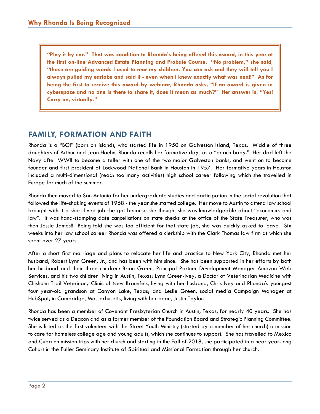**"Play it by ear." That was condition to Rhonda's being offered this award, in this year at the first on-line Advanced Estate Planning and Probate Course. "No problem," she said, "those are guiding words I used to rear my children. You can ask and they will tell you I always pulled my earlobe and said it - even when I knew exactly what was next!" As for being the first to receive this award by webinar, Rhonda asks, "If an award is given in cyberspace and no one is there to share it, does it mean as much?" Her answer is, "Yes! Carry on, virtually."** 

#### **FAMILY, FORMATION AND FAITH**

Rhonda is a "BOI" (born on island), who started life in 1950 on Galveston Island, Texas. Middle of three daughters of Arthur and Jean Hoehn, Rhonda recalls her formative days as a "beach baby." Her dad left the Navy after WWII to become a teller with one of the two major Galveston banks, and went on to become founder and first president of Lockwood National Bank in Houston in 1957. Her formative years in Houston included a multi-dimensional (read: too many activities) high school career following which she travelled in Europe for much of the summer.

Rhonda then moved to San Antonio for her undergraduate studies and participation in the social revolution that followed the life-shaking events of 1968 - the year she started college. Her move to Austin to attend law school brought with it a short-lived job she got because she thought she was knowledgeable about "economics and law". It was hand-stamping date cancellations on state checks at the office of the State Treasurer, who was then Jessie James!! Being told she was too efficient for that state job, she was quickly asked to leave. Six weeks into her law school career Rhonda was offered a clerkship with the Clark Thomas law firm at which she spent over 27 years.

After a short first marriage and plans to relocate her life and practice to New York City, Rhonda met her husband, Robert Lynn Green, Jr., and has been with him since. She has been supported in her efforts by both her husband and their three children: Brian Green, Principal Partner Development Manager Amazon Web Services, and his two children living in Austin, Texas; Lynn Green-Ivey, a Doctor of Veterinarian Medicine with Chisholm Trail Veterinary Clinic of New Braunfels, living with her husband, Chris Ivey and Rhonda's youngest four year-old grandson at Canyon Lake, Texas; and Leslie Green, social media Campaign Manager at HubSpot, in Cambridge, Massachusetts, living with her beau, Justin Taylor.

Rhonda has been a member of Covenant Presbyterian Church in Austin, Texas, for nearly 40 years. She has twice served as a Deacon and as a former member of the Foundation Board and Strategic Planning Committee. She is listed as the first volunteer with the Street Youth Ministry (started by a member of her church) a mission to care for homeless college age and young adults, which she continues to support. She has travelled to Mexico and Cuba on mission trips with her church and starting in the Fall of 2018, she participated in a near year-long Cohort in the Fuller Seminary Institute of Spiritual and Missional Formation through her church.